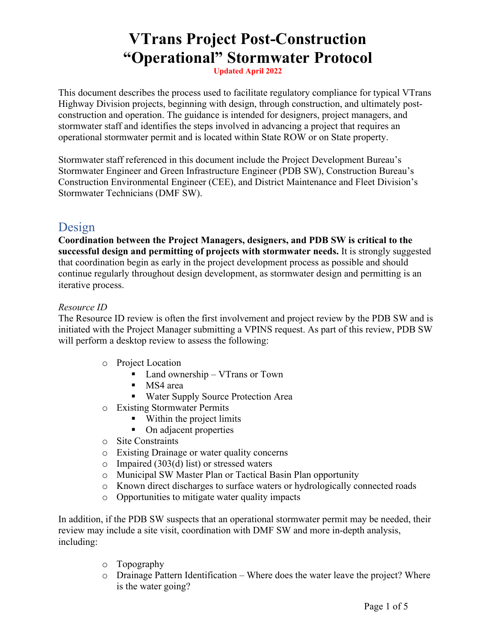# **VTrans Project Post-Construction "Operational" Stormwater Protocol**

**Updated April 2022**

This document describes the process used to facilitate regulatory compliance for typical VTrans Highway Division projects, beginning with design, through construction, and ultimately postconstruction and operation. The guidance is intended for designers, project managers, and stormwater staff and identifies the steps involved in advancing a project that requires an operational stormwater permit and is located within State ROW or on State property.

Stormwater staff referenced in this document include the Project Development Bureau's Stormwater Engineer and Green Infrastructure Engineer (PDB SW), Construction Bureau's Construction Environmental Engineer (CEE), and District Maintenance and Fleet Division's Stormwater Technicians (DMF SW).

## Design

**Coordination between the Project Managers, designers, and PDB SW is critical to the successful design and permitting of projects with stormwater needs.** It is strongly suggested that coordination begin as early in the project development process as possible and should continue regularly throughout design development, as stormwater design and permitting is an iterative process.

### *Resource ID*

The Resource ID review is often the first involvement and project review by the PDB SW and is initiated with the Project Manager submitting a VPINS request. As part of this review, PDB SW will perform a desktop review to assess the following:

- o Project Location
	- Land ownership VTrans or Town
	- MS4 area
	- **Water Supply Source Protection Area**
- o Existing Stormwater Permits
	- Within the project limits
	- On adjacent properties
- o Site Constraints
- o Existing Drainage or water quality concerns
- $\circ$  Impaired (303(d) list) or stressed waters
- o Municipal SW Master Plan or Tactical Basin Plan opportunity
- o Known direct discharges to surface waters or hydrologically connected roads
- o Opportunities to mitigate water quality impacts

In addition, if the PDB SW suspects that an operational stormwater permit may be needed, their review may include a site visit, coordination with DMF SW and more in-depth analysis, including:

- o Topography
- o Drainage Pattern Identification Where does the water leave the project? Where is the water going?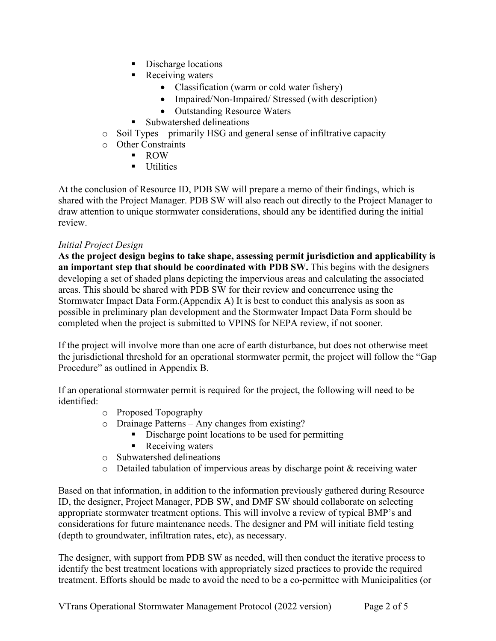- Discharge locations
- **Receiving waters** 
	- Classification (warm or cold water fishery)
	- Impaired/Non-Impaired/ Stressed (with description)
	- Outstanding Resource Waters
- Subwatershed delineations
- o Soil Types primarily HSG and general sense of infiltrative capacity
- o Other Constraints
	- ROW
		- **Utilities**

At the conclusion of Resource ID, PDB SW will prepare a memo of their findings, which is shared with the Project Manager. PDB SW will also reach out directly to the Project Manager to draw attention to unique stormwater considerations, should any be identified during the initial review.

### *Initial Project Design*

**As the project design begins to take shape, assessing permit jurisdiction and applicability is an important step that should be coordinated with PDB SW.** This begins with the designers developing a set of shaded plans depicting the impervious areas and calculating the associated areas. This should be shared with PDB SW for their review and concurrence using the Stormwater Impact Data Form.(Appendix A) It is best to conduct this analysis as soon as possible in preliminary plan development and the Stormwater Impact Data Form should be completed when the project is submitted to VPINS for NEPA review, if not sooner.

If the project will involve more than one acre of earth disturbance, but does not otherwise meet the jurisdictional threshold for an operational stormwater permit, the project will follow the "Gap Procedure" as outlined in Appendix B.

If an operational stormwater permit is required for the project, the following will need to be identified:

- o Proposed Topography
- o Drainage Patterns Any changes from existing?
	- Discharge point locations to be used for permitting
	- Receiving waters
- o Subwatershed delineations
- o Detailed tabulation of impervious areas by discharge point & receiving water

Based on that information, in addition to the information previously gathered during Resource ID, the designer, Project Manager, PDB SW, and DMF SW should collaborate on selecting appropriate stormwater treatment options. This will involve a review of typical BMP's and considerations for future maintenance needs. The designer and PM will initiate field testing (depth to groundwater, infiltration rates, etc), as necessary.

The designer, with support from PDB SW as needed, will then conduct the iterative process to identify the best treatment locations with appropriately sized practices to provide the required treatment. Efforts should be made to avoid the need to be a co-permittee with Municipalities (or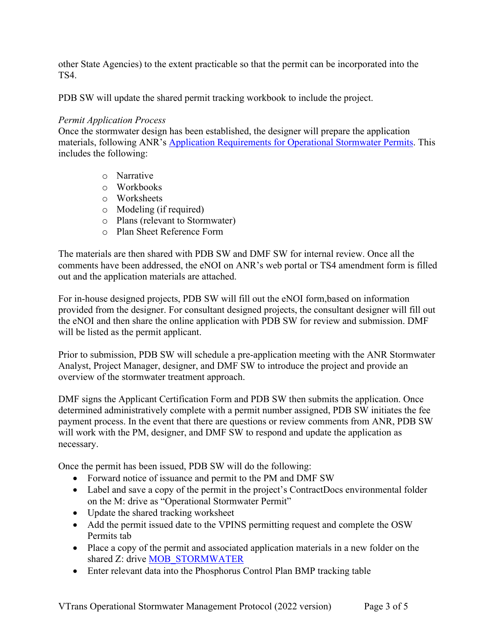other State Agencies) to the extent practicable so that the permit can be incorporated into the TS4.

PDB SW will update the shared permit tracking workbook to include the project.

#### *Permit Application Process*

Once the stormwater design has been established, the designer will prepare the application materials, following ANR's [Application Requirements for Operational Stormwater Permits.](https://dec.vermont.gov/sites/dec/files/wsm/stormwater/docs/ApplicationRequirementsforOperationalPermits.pdf) This includes the following:

- o Narrative
- o Workbooks
- o Worksheets
- o Modeling (if required)
- o Plans (relevant to Stormwater)
- o Plan Sheet Reference Form

The materials are then shared with PDB SW and DMF SW for internal review. Once all the comments have been addressed, the eNOI on ANR's web portal or TS4 amendment form is filled out and the application materials are attached.

For in-house designed projects, PDB SW will fill out the eNOI form,based on information provided from the designer. For consultant designed projects, the consultant designer will fill out the eNOI and then share the online application with PDB SW for review and submission. DMF will be listed as the permit applicant.

Prior to submission, PDB SW will schedule a pre-application meeting with the ANR Stormwater Analyst, Project Manager, designer, and DMF SW to introduce the project and provide an overview of the stormwater treatment approach.

DMF signs the Applicant Certification Form and PDB SW then submits the application. Once determined administratively complete with a permit number assigned, PDB SW initiates the fee payment process. In the event that there are questions or review comments from ANR, PDB SW will work with the PM, designer, and DMF SW to respond and update the application as necessary.

Once the permit has been issued, PDB SW will do the following:

- Forward notice of issuance and permit to the PM and DMF SW
- Label and save a copy of the permit in the project's ContractDocs environmental folder on the M: drive as "Operational Stormwater Permit"
- Update the shared tracking worksheet
- Add the permit issued date to the VPINS permitting request and complete the OSW Permits tab
- Place a copy of the permit and associated application materials in a new folder on the shared Z: drive [MOB\\_STORMWATER](file://aotfs02vb/vtrans$/Highways/MOB/TSERV/MOB_ENVIRONMENTAL_PRGM/MOB_STORMWATER/h2o_STATE%20OP_SWD%209010%20&%209015/0Bennington%20STP%201000(23))
- Enter relevant data into the Phosphorus Control Plan BMP tracking table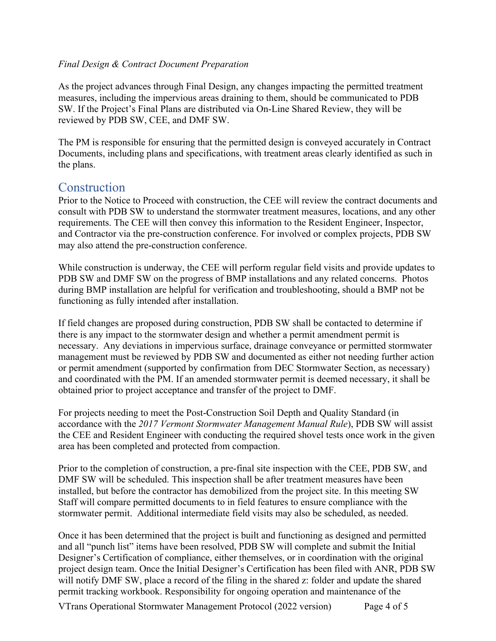#### *Final Design & Contract Document Preparation*

As the project advances through Final Design, any changes impacting the permitted treatment measures, including the impervious areas draining to them, should be communicated to PDB SW. If the Project's Final Plans are distributed via On-Line Shared Review, they will be reviewed by PDB SW, CEE, and DMF SW.

The PM is responsible for ensuring that the permitted design is conveyed accurately in Contract Documents, including plans and specifications, with treatment areas clearly identified as such in the plans.

## **Construction**

Prior to the Notice to Proceed with construction, the CEE will review the contract documents and consult with PDB SW to understand the stormwater treatment measures, locations, and any other requirements. The CEE will then convey this information to the Resident Engineer, Inspector, and Contractor via the pre-construction conference. For involved or complex projects, PDB SW may also attend the pre-construction conference.

While construction is underway, the CEE will perform regular field visits and provide updates to PDB SW and DMF SW on the progress of BMP installations and any related concerns. Photos during BMP installation are helpful for verification and troubleshooting, should a BMP not be functioning as fully intended after installation.

If field changes are proposed during construction, PDB SW shall be contacted to determine if there is any impact to the stormwater design and whether a permit amendment permit is necessary. Any deviations in impervious surface, drainage conveyance or permitted stormwater management must be reviewed by PDB SW and documented as either not needing further action or permit amendment (supported by confirmation from DEC Stormwater Section, as necessary) and coordinated with the PM. If an amended stormwater permit is deemed necessary, it shall be obtained prior to project acceptance and transfer of the project to DMF.

For projects needing to meet the Post-Construction Soil Depth and Quality Standard (in accordance with the *2017 Vermont Stormwater Management Manual Rule*), PDB SW will assist the CEE and Resident Engineer with conducting the required shovel tests once work in the given area has been completed and protected from compaction.

Prior to the completion of construction, a pre-final site inspection with the CEE, PDB SW, and DMF SW will be scheduled. This inspection shall be after treatment measures have been installed, but before the contractor has demobilized from the project site. In this meeting SW Staff will compare permitted documents to in field features to ensure compliance with the stormwater permit. Additional intermediate field visits may also be scheduled, as needed.

Once it has been determined that the project is built and functioning as designed and permitted and all "punch list" items have been resolved, PDB SW will complete and submit the Initial Designer's Certification of compliance, either themselves, or in coordination with the original project design team. Once the Initial Designer's Certification has been filed with ANR, PDB SW will notify DMF SW, place a record of the filing in the shared z: folder and update the shared permit tracking workbook. Responsibility for ongoing operation and maintenance of the

VTrans Operational Stormwater Management Protocol (2022 version) Page 4 of 5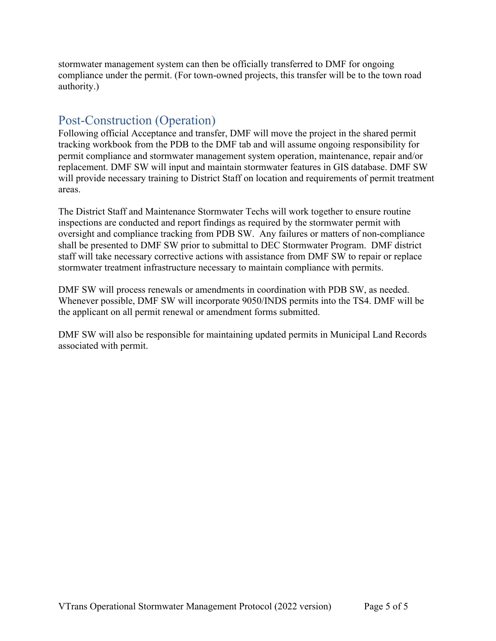stormwater management system can then be officially transferred to DMF for ongoing compliance under the permit. (For town-owned projects, this transfer will be to the town road authority.)

## Post-Construction (Operation)

Following official Acceptance and transfer, DMF will move the project in the shared permit tracking workbook from the PDB to the DMF tab and will assume ongoing responsibility for permit compliance and stormwater management system operation, maintenance, repair and/or replacement. DMF SW will input and maintain stormwater features in GIS database. DMF SW will provide necessary training to District Staff on location and requirements of permit treatment areas.

The District Staff and Maintenance Stormwater Techs will work together to ensure routine inspections are conducted and report findings as required by the stormwater permit with oversight and compliance tracking from PDB SW. Any failures or matters of non-compliance shall be presented to DMF SW prior to submittal to DEC Stormwater Program. DMF district staff will take necessary corrective actions with assistance from DMF SW to repair or replace stormwater treatment infrastructure necessary to maintain compliance with permits.

DMF SW will process renewals or amendments in coordination with PDB SW, as needed. Whenever possible, DMF SW will incorporate 9050/INDS permits into the TS4. DMF will be the applicant on all permit renewal or amendment forms submitted.

DMF SW will also be responsible for maintaining updated permits in Municipal Land Records associated with permit.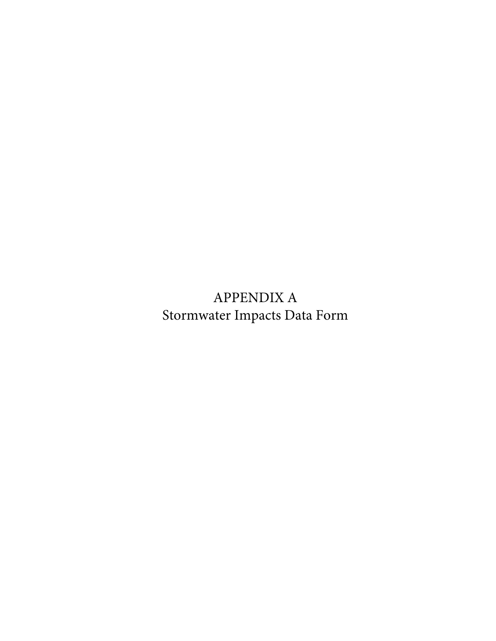APPENDIX A Stormwater Impacts Data Form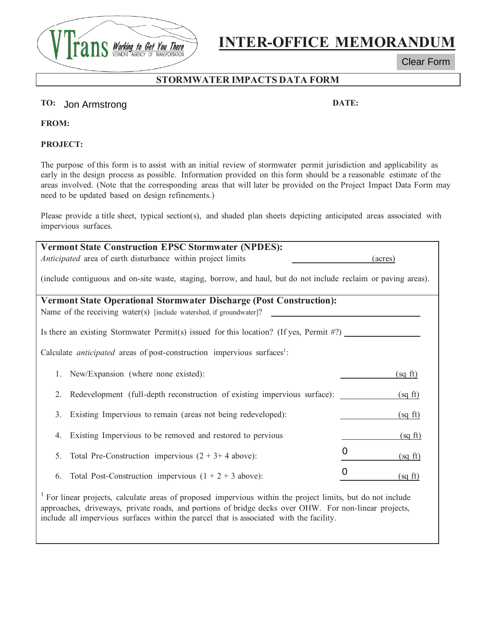

# **INTER-OFFICE MEMORANDUM**

Clear Form

## **STORMWATER IMPACTS DATA FORM**

#### **TO: DATE:**  Jon Armstrong

**FROM:**

**PROJECT:** 

The purpose of this form is to assist with an initial review of stormwater permit jurisdiction and applicability as early in the design process as possible. Information provided on this form should be a reasonable estimate of the areas involved. (Note that the corresponding areas that will later be provided on the Project Impact Data Form may need to be updated based on design refinements.)

Please provide a title sheet, typical section(s), and shaded plan sheets depicting anticipated areas associated with impervious surfaces.

| <b>Vermont State Construction EPSC Stormwater (NPDES):</b><br>Anticipated area of earth disturbance within project limits | (acres)                       |  |
|---------------------------------------------------------------------------------------------------------------------------|-------------------------------|--|
| (include contiguous and on-site waste, staging, borrow, and haul, but do not include reclaim or paving areas).            |                               |  |
| <b>Vermont State Operational Stormwater Discharge (Post Construction):</b>                                                |                               |  |
| Name of the receiving water(s) [include watershed, if groundwater]?                                                       |                               |  |
| Is there an existing Stormwater Permit(s) issued for this location? (If yes, Permit $\#$ ?)                               |                               |  |
| Calculate <i>anticipated</i> areas of post-construction impervious surfaces <sup>1</sup> :                                |                               |  |
| 1. New/Expansion (where none existed):                                                                                    | $(sq \text{ ft})$             |  |
| Redevelopment (full-depth reconstruction of existing impervious surface):<br>2.                                           | (sq ft)                       |  |
| Existing Impervious to remain (areas not being redeveloped):<br>3.                                                        | (sq ft)                       |  |
| Existing Impervious to be removed and restored to pervious<br>4.                                                          | (sq ft)                       |  |
| Total Pre-Construction impervious $(2 + 3 + 4$ above):<br>5.                                                              | $\Omega$<br>$(sq \text{ ft})$ |  |
| Total Post-Construction impervious $(1 + 2 + 3$ above):<br>6.                                                             | $(sq \text{ ft})$             |  |
|                                                                                                                           |                               |  |

<sup>1</sup> For linear projects, calculate areas of proposed impervious within the project limits, but do not include approaches, driveways, private roads, and portions of bridge decks over OHW. For non-linear projects, include all impervious surfaces within the parcel that is associated with the facility.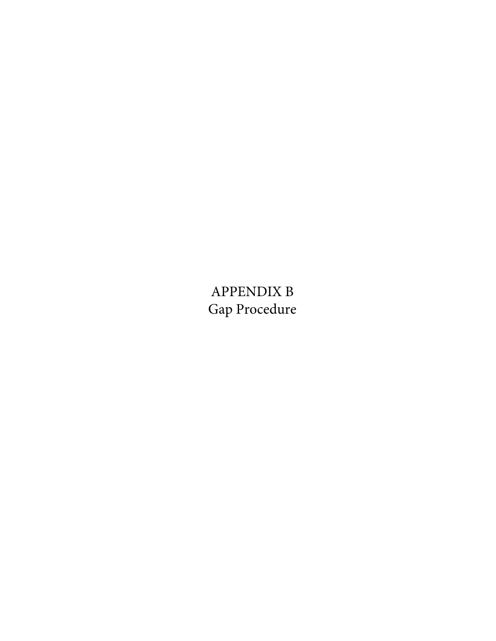APPENDIX B Gap Procedure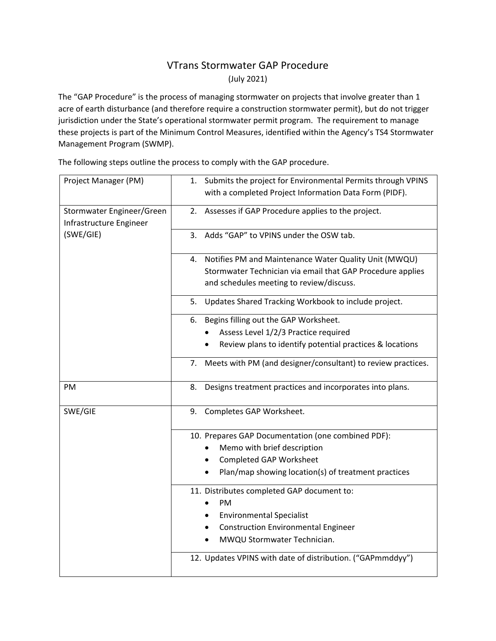## VTrans Stormwater GAP Procedure (July 2021)

The "GAP Procedure" is the process of managing stormwater on projects that involve greater than 1 acre of earth disturbance (and therefore require a construction stormwater permit), but do not trigger jurisdiction under the State's operational stormwater permit program. The requirement to manage these projects is part of the Minimum Control Measures, identified within the Agency's TS4 Stormwater Management Program (SWMP).

Project Manager (PM) 1. Submits the project for Environmental Permits through VPINS with a completed Project Information Data Form (PIDF). Stormwater Engineer/Green Infrastructure Engineer (SWE/GIE) 2. Assesses if GAP Procedure applies to the project. 3. Adds "GAP" to VPINS under the OSW tab. 4. Notifies PM and Maintenance Water Quality Unit (MWQU) Stormwater Technician via email that GAP Procedure applies and schedules meeting to review/discuss. 5. Updates Shared Tracking Workbook to include project. 6. Begins filling out the GAP Worksheet. • Assess Level 1/2/3 Practice required Review plans to identify potential practices & locations 7. Meets with PM (and designer/consultant) to review practices. PM 8. Designs treatment practices and incorporates into plans. SWE/GIE 9. Completes GAP Worksheet. 10. Prepares GAP Documentation (one combined PDF): • Memo with brief description • Completed GAP Worksheet • Plan/map showing location(s) of treatment practices 11. Distributes completed GAP document to: • PM • Environmental Specialist • Construction Environmental Engineer • MWQU Stormwater Technician. 12. Updates VPINS with date of distribution. ("GAPmmddyy")

The following steps outline the process to comply with the GAP procedure.